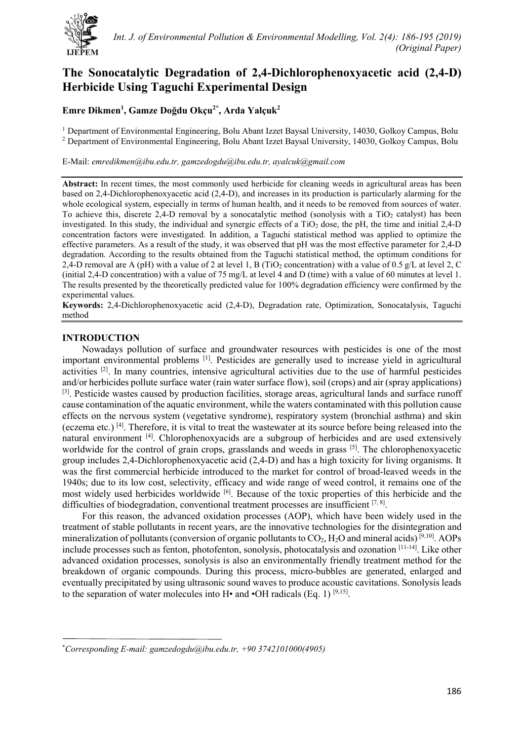

# **The Sonocatalytic Degradation of 2,4-Dichlorophenoxyacetic acid (2,4-D) Herbicide Using Taguchi Experimental Design**

# **Emre Dikmen1 , Gamze Doğdu Okçu2\* , Arda Yalçuk<sup>2</sup>**

<sup>1</sup> Department of Environmental Engineering, Bolu Abant Izzet Baysal University, 14030, Golkoy Campus, Bolu <sup>2</sup> Department of Environmental Engineering, Bolu Abant Izzet Baysal University, 14030, Golkoy Campus, Bolu

E-Mail: *emredikmen@ibu.edu.tr, gamzedogdu@ibu.edu.tr, ayalcuk@gmail.com*

Abstract: In recent times, the most commonly used herbicide for cleaning weeds in agricultural areas has been based on 2,4-Dichlorophenoxyacetic acid (2,4-D), and increases in its production is particularly alarming for the whole ecological system, especially in terms of human health, and it needs to be removed from sources of water. To achieve this, discrete 2,4-D removal by a sonocatalytic method (sonolysis with a  $TiO<sub>2</sub>$  catalyst) has been investigated. In this study, the individual and synergic effects of a  $TiO<sub>2</sub>$  dose, the pH, the time and initial 2,4-D concentration factors were investigated. In addition, a Taguchi statistical method was applied to optimize the effective parameters. As a result of the study, it was observed that pH was the most effective parameter for 2,4-D degradation. According to the results obtained from the Taguchi statistical method, the optimum conditions for 2,4-D removal are A (pH) with a value of 2 at level 1, B (TiO<sub>2</sub> concentration) with a value of 0.5 g/L at level 2, C (initial 2,4-D concentration) with a value of 75 mg/L at level 4 and D (time) with a value of 60 minutes at level 1. The results presented by the theoretically predicted value for 100% degradation efficiency were confirmed by the experimental values.

**Keywords:** 2,4-Dichlorophenoxyacetic acid (2,4-D), Degradation rate, Optimization, Sonocatalysis, Taguchi method

# **INTRODUCTION**

Nowadays pollution of surface and groundwater resources with pesticides is one of the most important environmental problems [1]. Pesticides are generally used to increase yield in agricultural activities [2]. In many countries, intensive agricultural activities due to the use of harmful pesticides and/or herbicides pollute surface water (rain water surface flow), soil (crops) and air (spray applications)  $[3]$ . Pesticide wastes caused by production facilities, storage areas, agricultural lands and surface runoff cause contamination of the aquatic environment, while the waters contaminated with this pollution cause effects on the nervous system (vegetative syndrome), respiratory system (bronchial asthma) and skin (eczema etc.) [4]. Therefore, it is vital to treat the wastewater at its source before being released into the natural environment [4]. Chlorophenoxyacids are a subgroup of herbicides and are used extensively worldwide for the control of grain crops, grasslands and weeds in grass [5]. The chlorophenoxyacetic group includes 2,4-Dichlorophenoxyacetic acid (2,4-D) and has a high toxicity for living organisms. It was the first commercial herbicide introduced to the market for control of broad-leaved weeds in the 1940s; due to its low cost, selectivity, efficacy and wide range of weed control, it remains one of the most widely used herbicides worldwide [6]. Because of the toxic properties of this herbicide and the difficulties of biodegradation, conventional treatment processes are insufficient  $[7, 8]$ .

For this reason, the advanced oxidation processes (AOP), which have been widely used in the treatment of stable pollutants in recent years, are the innovative technologies for the disintegration and mineralization of pollutants (conversion of organic pollutants to  $CO_2$ ,  $H_2O$  and mineral acids) [9,10]. AOPs include processes such as fenton, photofenton, sonolysis, photocatalysis and ozonation [11-14]. Like other advanced oxidation processes, sonolysis is also an environmentally friendly treatment method for the breakdown of organic compounds. During this process, micro-bubbles are generated, enlarged and eventually precipitated by using ultrasonic sound waves to produce acoustic cavitations. Sonolysis leads to the separation of water molecules into  $H\bullet$  and  $\bullet$ OH radicals (Eq. 1) [9,15].

<sup>\*</sup> *Corresponding E-mail: [gamzedogdu@ibu.edu.tr,](mailto:gamzedogdu@ibu.edu.tr) +90 3742101000(4905)*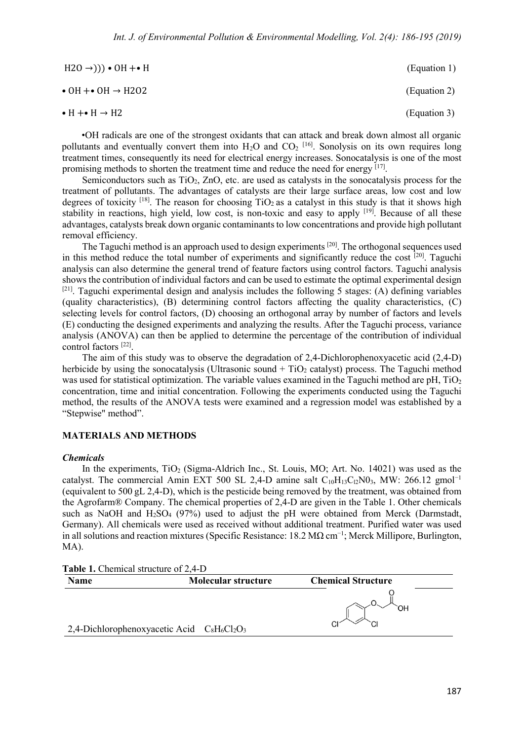| $H20 \rightarrow$ ))) • OH +• H            | (Equation 1) |
|--------------------------------------------|--------------|
| $\bullet$ OH $\div$ OH $\rightarrow$ H2O2  | (Equation 2) |
| $\bullet$ H + $\bullet$ H $\rightarrow$ H2 | (Equation 3) |

•OH radicals are one of the strongest oxidants that can attack and break down almost all organic pollutants and eventually convert them into  $H_2O$  and  $CO_2$  <sup>[16]</sup>. Sonolysis on its own requires long treatment times, consequently its need for electrical energy increases. Sonocatalysis is one of the most promising methods to shorten the treatment time and reduce the need for energy [17].

Semiconductors such as  $TiO<sub>2</sub>$ ,  $ZnO$ , etc. are used as catalysts in the sonocatalysis process for the treatment of pollutants. The advantages of catalysts are their large surface areas, low cost and low degrees of toxicity  $[18]$ . The reason for choosing TiO<sub>2</sub> as a catalyst in this study is that it shows high stability in reactions, high yield, low cost, is non-toxic and easy to apply <sup>[19]</sup>. Because of all these advantages, catalysts break down organic contaminants to low concentrations and provide high pollutant removal efficiency.

The Taguchi method is an approach used to design experiments <sup>[20]</sup>. The orthogonal sequences used in this method reduce the total number of experiments and significantly reduce the cost  $[20]$ . Taguchi analysis can also determine the general trend of feature factors using control factors. Taguchi analysis shows the contribution of individual factors and can be used to estimate the optimal experimental design [21]. Taguchi experimental design and analysis includes the following 5 stages: (A) defining variables (quality characteristics), (B) determining control factors affecting the quality characteristics, (C) selecting levels for control factors, (D) choosing an orthogonal array by number of factors and levels (E) conducting the designed experiments and analyzing the results. After the Taguchi process, variance analysis (ANOVA) can then be applied to determine the percentage of the contribution of individual control factors [22].

The aim of this study was to observe the degradation of 2,4-Dichlorophenoxyacetic acid (2,4-D) herbicide by using the sonocatalysis (Ultrasonic sound  $+ TiO<sub>2</sub>$  catalyst) process. The Taguchi method was used for statistical optimization. The variable values examined in the Taguchi method are pH,  $TiO<sub>2</sub>$ concentration, time and initial concentration. Following the experiments conducted using the Taguchi method, the results of the ANOVA tests were examined and a regression model was established by a "Stepwise" method".

#### **MATERIALS AND METHODS**

#### *Chemicals*

In the experiments,  $TiO<sub>2</sub>$  (Sigma-Aldrich Inc., St. Louis, MO; Art. No. 14021) was used as the catalyst. The commercial Amin EXT 500 SL 2,4-D amine salt  $C_{10}H_{13}C_{12}N0_3$ , MW: 266.12 gmol<sup>-1</sup> (equivalent to 500 gL 2,4-D), which is the pesticide being removed by the treatment, was obtained from the Agrofarm® Company. The chemical properties of 2,4-D are given in the Table 1. Other chemicals such as NaOH and  $H_2SO_4$  (97%) used to adjust the pH were obtained from Merck (Darmstadt, Germany). All chemicals were used as received without additional treatment. Purified water was used in all solutions and reaction mixtures (Specific Resistance:  $18.2 M\Omega$  cm<sup>-1</sup>; Merck Millipore, Burlington, MA).

**Table 1.** Chemical structure of 2,4-D **Name Molecular structure Chemical Structure** ЮH 2,4-Dichlorophenoxyacetic Acid  $C_8H_6Cl_2O_3$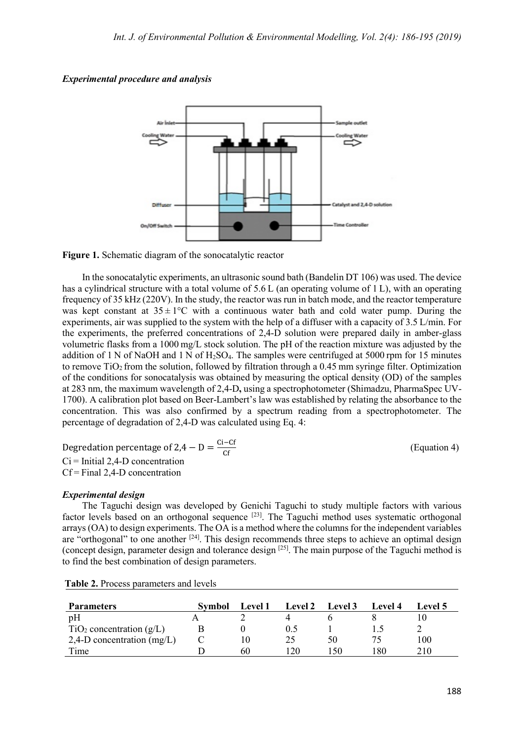# *Experimental procedure and analysis*



**Figure 1.** Schematic diagram of the sonocatalytic reactor

In the sonocatalytic experiments, an ultrasonic sound bath (Bandelin DT 106) was used. The device has a cylindrical structure with a total volume of 5.6 L (an operating volume of 1 L), with an operating frequency of 35 kHz (220V). In the study, the reactor was run in batch mode, and the reactor temperature was kept constant at  $35 \pm 1$ °C with a continuous water bath and cold water pump. During the experiments, air was supplied to the system with the help of a diffuser with a capacity of 3.5 L/min. For the experiments, the preferred concentrations of 2,4-D solution were prepared daily in amber-glass volumetric flasks from a 1000 mg/L stock solution. The pH of the reaction mixture was adjusted by the addition of 1 N of NaOH and 1 N of  $H_2SO_4$ . The samples were centrifuged at 5000 rpm for 15 minutes to remove  $TiO<sub>2</sub>$  from the solution, followed by filtration through a 0.45 mm syringe filter. Optimization of the conditions for sonocatalysis was obtained by measuring the optical density (OD) of the samples at 283 nm, the maximum wavelength of 2,4-D**,** using a spectrophotometer (Shimadzu, PharmaSpec UV-1700). A calibration plot based on Beer-Lambert's law was established by relating the absorbance to the concentration. This was also confirmed by a spectrum reading from a spectrophotometer. The percentage of degradation of 2,4-D was calculated using Eq. 4:

Degredation percentage of 2,4 – D =  $\frac{Ci - Cf}{cf}$ Ci = Initial 2,4-D concentration Cf = Final 2,4-D concentration

 $(Equation 4)$ 

# *Experimental design*

The Taguchi design was developed by Genichi Taguchi to study multiple factors with various factor levels based on an orthogonal sequence <sup>[23]</sup>. The Taguchi method uses systematic orthogonal arrays (OA) to design experiments. The OA is a method where the columns for the independent variables are "orthogonal" to one another <sup>[24]</sup>. This design recommends three steps to achieve an optimal design (concept design, parameter design and tolerance design [25]. The main purpose of the Taguchi method is to find the best combination of design parameters.

| <b>Parameters</b>                    | <b>Symbol</b> | <b>Level 1</b> | <b>Level 2</b> | Level 3 | Level 4 | Level 5 |
|--------------------------------------|---------------|----------------|----------------|---------|---------|---------|
| pH                                   |               |                |                |         |         |         |
| TiO <sub>2</sub> concentration (g/L) |               |                |                |         |         |         |
| 2,4-D concentration $(mg/L)$         |               | 10             |                | 50      |         | 100     |
| Time                                 |               | 60             | 20             | 50      | 180     | 210     |

**Table 2.** Process parameters and levels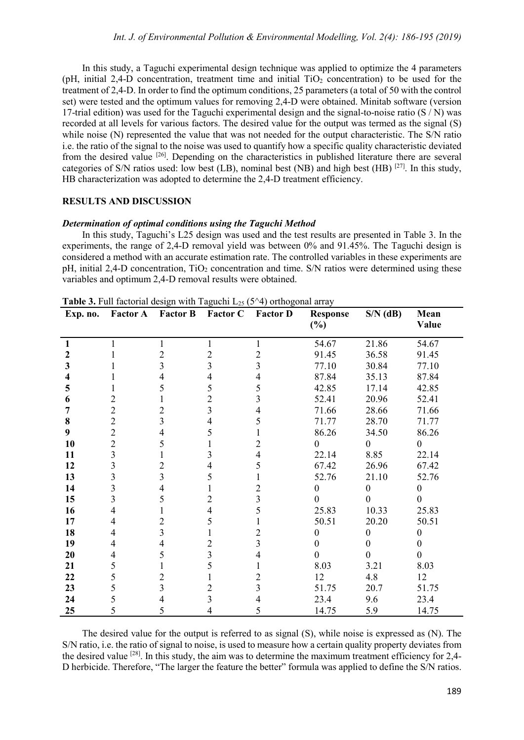In this study, a Taguchi experimental design technique was applied to optimize the 4 parameters (pH, initial 2,4-D concentration, treatment time and initial  $TiO<sub>2</sub>$  concentration) to be used for the treatment of 2,4-D. In order to find the optimum conditions, 25 parameters (a total of 50 with the control set) were tested and the optimum values for removing 2,4-D were obtained. Minitab software (version 17-trial edition) was used for the Taguchi experimental design and the signal-to-noise ratio  $(S/N)$  was recorded at all levels for various factors. The desired value for the output was termed as the signal (S) while noise (N) represented the value that was not needed for the output characteristic. The S/N ratio i.e. the ratio of the signal to the noise was used to quantify how a specific quality characteristic deviated from the desired value [26]. Depending on the characteristics in published literature there are several categories of S/N ratios used: low best (LB), nominal best (NB) and high best (HB) [27]. In this study, HB characterization was adopted to determine the 2,4-D treatment efficiency.

#### **RESULTS AND DISCUSSION**

#### *Determination of optimal conditions using the Taguchi Method*

In this study, Taguchi's L25 design was used and the test results are presented in Table 3. In the experiments, the range of 2,4-D removal yield was between 0% and 91.45%. The Taguchi design is considered a method with an accurate estimation rate. The controlled variables in these experiments are pH, initial 2,4-D concentration,  $TiO<sub>2</sub>$  concentration and time. S/N ratios were determined using these variables and optimum 2,4-D removal results were obtained.

| Exp. no. | <b>Factor A</b> | <b>Factor B</b> | <b>Factor C</b> | <b>Factor D</b> | <b>Response</b><br>$(\%)$ | $S/N$ (dB) | Mean<br>Value |
|----------|-----------------|-----------------|-----------------|-----------------|---------------------------|------------|---------------|
| 1        |                 | 1               | 1               | 1               | 54.67                     | 21.86      | 54.67         |
| 2        |                 | 2               | $\overline{c}$  | $\overline{2}$  | 91.45                     | 36.58      | 91.45         |
| 3        |                 | 3               | $\overline{3}$  | 3               | 77.10                     | 30.84      | 77.10         |
| 4        |                 | 4               | 4               | 4               | 87.84                     | 35.13      | 87.84         |
| 5        |                 | 5               | 5               | 5               | 42.85                     | 17.14      | 42.85         |
| 6        | 2               |                 | 2               | 3               | 52.41                     | 20.96      | 52.41         |
| 7        | $\overline{2}$  | 2               | 3               | 4               | 71.66                     | 28.66      | 71.66         |
| 8        | $\overline{2}$  | 3               | 4               | 5               | 71.77                     | 28.70      | 71.77         |
| 9        | $\overline{2}$  | 4               | 5               |                 | 86.26                     | 34.50      | 86.26         |
| 10       | $\overline{2}$  | 5               |                 | 2               | $\theta$                  | $\Omega$   | $\Omega$      |
| 11       | 3               |                 | 3               | 4               | 22.14                     | 8.85       | 22.14         |
| 12       | 3               | 2               | 4               | 5               | 67.42                     | 26.96      | 67.42         |
| 13       | 3               | 3               | 5               |                 | 52.76                     | 21.10      | 52.76         |
| 14       | 3               | 4               |                 | 2               | 0                         | $\Omega$   | 0             |
| 15       | 3               | 5               | 2               | 3               | 0                         | 0          |               |
| 16       | 4               |                 | 4               | 5               | 25.83                     | 10.33      | 25.83         |
| 17       |                 | 2               | 5               |                 | 50.51                     | 20.20      | 50.51         |
| 18       | 4               | 3               |                 | 2               | 0                         | 0          | 0             |
| 19       | 4               | 4               | 2               | 3               | $\Omega$                  | 0          | 0             |
| 20       | 4               | 5               | 3               |                 | 0                         | 0          | 0             |
| 21       | 5               |                 | 5               |                 | 8.03                      | 3.21       | 8.03          |
| 22       | 5               | 2               |                 | 2               | 12                        | 4.8        | 12            |
| 23       | 5               | 3               | 2               | 3               | 51.75                     | 20.7       | 51.75         |
| 24       | 5               |                 | 3               | 4               | 23.4                      | 9.6        | 23.4          |
| 25       | 5               | 5               | 4               | 5               | 14.75                     | 5.9        | 14.75         |

**Table 3.** Full factorial design with Taguchi  $L_{25}$  (5^4) orthogonal array

The desired value for the output is referred to as signal (S), while noise is expressed as (N). The S/N ratio, i.e. the ratio of signal to noise, is used to measure how a certain quality property deviates from the desired value [28]. In this study, the aim was to determine the maximum treatment efficiency for 2,4- D herbicide. Therefore, "The larger the feature the better" formula was applied to define the S/N ratios.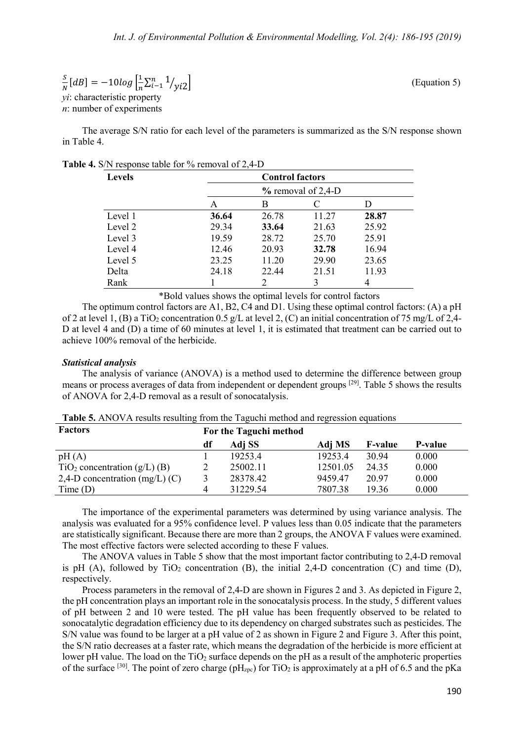$$
\frac{S}{N}[dB] = -10log\left[\frac{1}{n}\sum_{i=1}^{n}1/\gamma_{i2}\right]
$$
\n(Equation 5)

\nvi characteristic property

*yi*: characteristic property *n*: number of experiments

The average S/N ratio for each level of the parameters is summarized as the S/N response shown in Table 4.

|  |  |  |  |  |  | <b>Table 4.</b> S/N response table for % removal of 2,4-D |
|--|--|--|--|--|--|-----------------------------------------------------------|
|--|--|--|--|--|--|-----------------------------------------------------------|

| <b>Levels</b> | <b>Control factors</b> |               |       |       |  |
|---------------|------------------------|---------------|-------|-------|--|
|               | $%$ removal of 2,4-D   |               |       |       |  |
|               | Α                      | B             | C     |       |  |
| Level 1       | 36.64                  | 26.78         | 11.27 | 28.87 |  |
| Level 2       | 29.34                  | 33.64         | 21.63 | 25.92 |  |
| Level 3       | 19.59                  | 28.72         | 25.70 | 25.91 |  |
| Level 4       | 12.46                  | 20.93         | 32.78 | 16.94 |  |
| Level 5       | 23.25                  | 11.20         | 29.90 | 23.65 |  |
| Delta         | 24.18                  | 22.44         | 21.51 | 11.93 |  |
| Rank          |                        | $\mathcal{D}$ |       |       |  |

\*Bold values shows the optimal levels for control factors

The optimum control factors are A1, B2, C4 and D1. Using these optimal control factors: (A) a pH of 2 at level 1, (B) a TiO<sub>2</sub> concentration 0.5 g/L at level 2, (C) an initial concentration of 75 mg/L of 2,4-D at level 4 and (D) a time of 60 minutes at level 1, it is estimated that treatment can be carried out to achieve 100% removal of the herbicide.

#### *Statistical analysis*

The analysis of variance (ANOVA) is a method used to determine the difference between group means or process averages of data from independent or dependent groups [29]. Table 5 shows the results of ANOVA for 2,4-D removal as a result of sonocatalysis.

| <b>Factors</b>                   | For the Taguchi method |          |          |                |                |
|----------------------------------|------------------------|----------|----------|----------------|----------------|
|                                  | df                     | Adj SS   | Adj MS   | <b>F-value</b> | <b>P-value</b> |
| pH(A)                            |                        | 19253.4  | 19253.4  | 30.94          | 0.000          |
| $TiO2 concentration (g/L) (B)$   |                        | 25002.11 | 12501.05 | 24.35          | 0.000          |
| 2,4-D concentration $(mg/L)$ (C) |                        | 28378.42 | 9459.47  | 20.97          | 0.000          |
| Time(D)                          |                        | 31229.54 | 7807.38  | 19.36          | 0.000          |

**Table 5.** ANOVA results resulting from the Taguchi method and regression equations

The importance of the experimental parameters was determined by using variance analysis. The analysis was evaluated for a 95% confidence level. P values less than 0.05 indicate that the parameters are statistically significant. Because there are more than 2 groups, the ANOVA F values were examined. The most effective factors were selected according to these F values.

The ANOVA values in Table 5 show that the most important factor contributing to 2,4-D removal is pH  $(A)$ , followed by TiO<sub>2</sub> concentration  $(B)$ , the initial 2,4-D concentration  $(C)$  and time  $(D)$ , respectively.

Process parameters in the removal of 2,4-D are shown in Figures 2 and 3. As depicted in Figure 2, the pH concentration plays an important role in the sonocatalysis process. In the study, 5 different values of pH between 2 and 10 were tested. The pH value has been frequently observed to be related to sonocatalytic degradation efficiency due to its dependency on charged substrates such as pesticides. The S/N value was found to be larger at a pH value of 2 as shown in Figure 2 and Figure 3. After this point, the S/N ratio decreases at a faster rate, which means the degradation of the herbicide is more efficient at lower pH value. The load on the TiO<sub>2</sub> surface depends on the pH as a result of the amphoteric properties of the surface <sup>[30]</sup>. The point of zero charge ( $pH_{Zpc}$ ) for TiO<sub>2</sub> is approximately at a pH of 6.5 and the pKa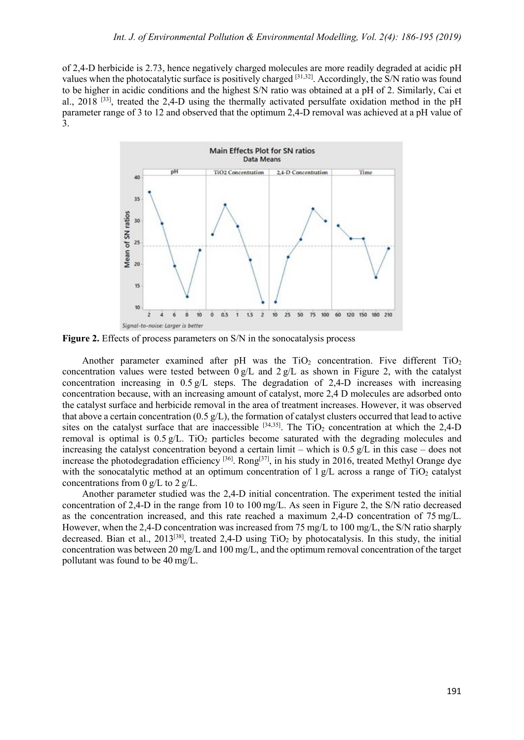of 2,4-D herbicide is 2.73, hence negatively charged molecules are more readily degraded at acidic pH values when the photocatalytic surface is positively charged [31,32]. Accordingly, the S/N ratio was found to be higher in acidic conditions and the highest S/N ratio was obtained at a pH of 2. Similarly, Cai et al., 2018 [33], treated the 2,4-D using the thermally activated persulfate oxidation method in the pH parameter range of 3 to 12 and observed that the optimum 2,4-D removal was achieved at a pH value of 3.



**Figure 2.** Effects of process parameters on S/N in the sonocatalysis process

Another parameter examined after pH was the  $TiO<sub>2</sub>$  concentration. Five different  $TiO<sub>2</sub>$ concentration values were tested between  $0g/L$  and  $2g/L$  as shown in Figure 2, with the catalyst concentration increasing in  $0.5 \text{ g/L}$  steps. The degradation of 2.4-D increases with increasing concentration because, with an increasing amount of catalyst, more 2,4 D molecules are adsorbed onto the catalyst surface and herbicide removal in the area of treatment increases. However, it was observed that above a certain concentration (0.5  $g/L$ ), the formation of catalyst clusters occurred that lead to active sites on the catalyst surface that are inaccessible  $[34,35]$ . The TiO<sub>2</sub> concentration at which the 2,4-D removal is optimal is  $0.5 \text{ g/L}$ . TiO<sub>2</sub> particles become saturated with the degrading molecules and increasing the catalyst concentration beyond a certain limit – which is  $0.5 \text{ g/L}$  in this case – does not increase the photodegradation efficiency [36]. Rong[37], in his study in 2016, treated Methyl Orange dye with the sonocatalytic method at an optimum concentration of  $1 \text{ g/L}$  across a range of TiO<sub>2</sub> catalyst concentrations from 0  $g/L$  to 2  $g/L$ .

Another parameter studied was the 2,4-D initial concentration. The experiment tested the initial concentration of 2,4-D in the range from 10 to 100 mg/L. As seen in Figure 2, the S/N ratio decreased as the concentration increased, and this rate reached a maximum 2,4-D concentration of 75 mg/L. However, when the 2,4-D concentration was increased from 75 mg/L to 100 mg/L, the S/N ratio sharply decreased. Bian et al., 2013<sup>[38]</sup>, treated 2,4-D using  $TiO<sub>2</sub>$  by photocatalysis. In this study, the initial concentration was between 20 mg/L and 100 mg/L, and the optimum removal concentration of the target pollutant was found to be 40 mg/L.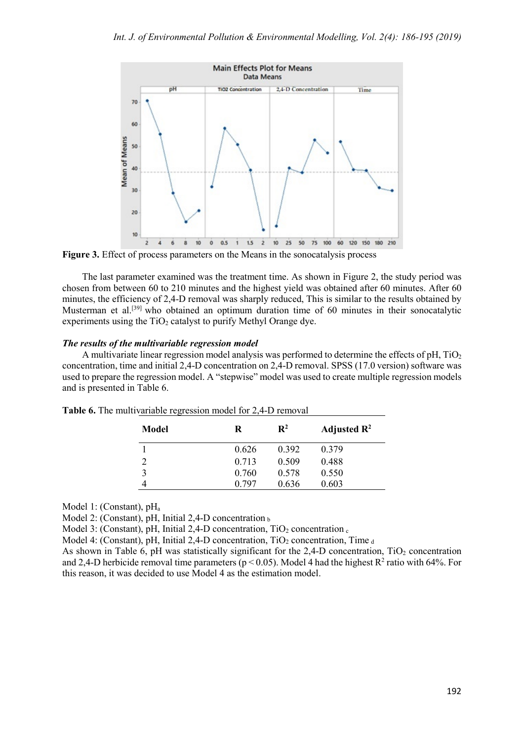

**Figure 3.** Effect of process parameters on the Means in the sonocatalysis process

The last parameter examined was the treatment time. As shown in Figure 2, the study period was chosen from between 60 to 210 minutes and the highest yield was obtained after 60 minutes. After 60 minutes, the efficiency of 2,4-D removal was sharply reduced, This is similar to the results obtained by Musterman et al.<sup>[39]</sup> who obtained an optimum duration time of 60 minutes in their sonocatalytic experiments using the  $TiO<sub>2</sub>$  catalyst to purify Methyl Orange dye.

# *The results of the multivariable regression model*

A multivariate linear regression model analysis was performed to determine the effects of  $pH$ , TiO<sub>2</sub> concentration, time and initial 2,4-D concentration on 2,4-D removal. SPSS (17.0 version) software was used to prepare the regression model. A "stepwise" model was used to create multiple regression models and is presented in Table 6.

| Model | R     | $\mathbf{R}^2$ | Adjusted $\mathbb{R}^2$ |
|-------|-------|----------------|-------------------------|
|       | 0.626 | 0.392          | 0.379                   |
|       | 0.713 | 0.509          | 0.488                   |
|       | 0.760 | 0.578          | 0.550                   |
|       | 0.797 | 0.636          | 0.603                   |

**Table 6.** The multivariable regression model for 2,4-D removal

Model 1: (Constant), pH<sub>a</sub>

Model 2: (Constant), pH, Initial 2,4-D concentration  $<sub>b</sub>$ </sub>

Model 3: (Constant), pH, Initial 2,4-D concentration,  $TiO<sub>2</sub>$  concentration  $_c$ 

Model 4: (Constant), pH, Initial 2,4-D concentration,  $TiO<sub>2</sub>$  concentration, Time  $_d$ 

As shown in Table 6, pH was statistically significant for the 2,4-D concentration,  $TiO<sub>2</sub>$  concentration and 2,4-D herbicide removal time parameters ( $p < 0.05$ ). Model 4 had the highest R<sup>2</sup> ratio with 64%. For this reason, it was decided to use Model 4 as the estimation model.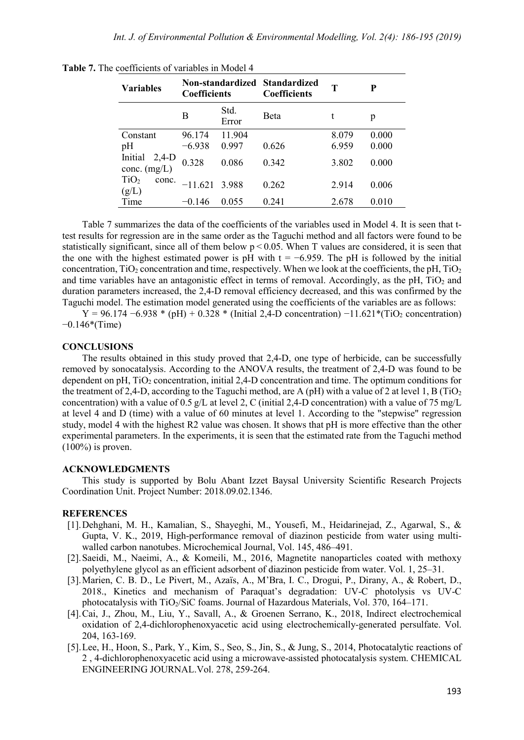| <b>Variables</b>                   | Non-standardized Standardized<br><b>Coefficients</b> |               | <b>Coefficients</b> | т     | P     |
|------------------------------------|------------------------------------------------------|---------------|---------------------|-------|-------|
|                                    | в                                                    | Std.<br>Error | <b>B</b> eta        | t     | p     |
| Constant                           | 96.174                                               | 11.904        |                     | 8.079 | 0.000 |
| pH<br>Initial<br>$2,4-D$           | $-6.938$                                             | 0.997         | 0.626               | 6.959 | 0.000 |
| conc. $(mg/L)$                     | 0.328                                                | 0.086         | 0.342               | 3.802 | 0.000 |
| TiO <sub>2</sub><br>conc.<br>(g/L) | $-11.621$                                            | 3.988         | 0.262               | 2.914 | 0.006 |
| Time                               | $-0.146$                                             | 0.055         | 0.241               | 2.678 | 0.010 |

**Table 7.** The coefficients of variables in Model 4

Table 7 summarizes the data of the coefficients of the variables used in Model 4. It is seen that ttest results for regression are in the same order as the Taguchi method and all factors were found to be statistically significant, since all of them below  $p < 0.05$ . When T values are considered, it is seen that the one with the highest estimated power is pH with  $t = -6.959$ . The pH is followed by the initial concentration,  $TiO<sub>2</sub>$  concentration and time, respectively. When we look at the coefficients, the pH,  $TiO<sub>2</sub>$ and time variables have an antagonistic effect in terms of removal. Accordingly, as the pH,  $TiO<sub>2</sub>$  and duration parameters increased, the 2,4-D removal efficiency decreased, and this was confirmed by the Taguchi model. The estimation model generated using the coefficients of the variables are as follows:

 $Y = 96.174 - 6.938 * (pH) + 0.328 * (Initial 2.4-D concentration) -11.621 * (TiO<sub>2</sub> concentration)$ −0.146\*(Time)

#### **CONCLUSIONS**

The results obtained in this study proved that 2,4-D, one type of herbicide, can be successfully removed by sonocatalysis. According to the ANOVA results, the treatment of 2,4-D was found to be dependent on pH,  $TiO<sub>2</sub>$  concentration, initial 2,4-D concentration and time. The optimum conditions for the treatment of 2,4-D, according to the Taguchi method, are A (pH) with a value of 2 at level 1, B (TiO<sub>2</sub>) concentration) with a value of 0.5  $g/L$  at level 2, C (initial 2.4-D concentration) with a value of 75 mg/L at level 4 and D (time) with a value of 60 minutes at level 1. According to the "stepwise" regression study, model 4 with the highest R2 value was chosen. It shows that pH is more effective than the other experimental parameters. In the experiments, it is seen that the estimated rate from the Taguchi method  $(100\%)$  is proven.

### **ACKNOWLEDGMENTS**

This study is supported by Bolu Abant Izzet Baysal University Scientific Research Projects Coordination Unit. Project Number: 2018.09.02.1346.

# **REFERENCES**

- [1].Dehghani, M. H., Kamalian, S., Shayeghi, M., Yousefi, M., Heidarinejad, Z., Agarwal, S., & Gupta, V. K., 2019, High-performance removal of diazinon pesticide from water using multiwalled carbon nanotubes. Microchemical Journal, Vol. 145, 486–491.
- [2].Saeidi, M., Naeimi, A., & Komeili, M., 2016, Magnetite nanoparticles coated with methoxy polyethylene glycol as an efficient adsorbent of diazinon pesticide from water. Vol. 1, 25–31.
- [3].Marien, C. B. D., Le Pivert, M., Azaïs, A., M'Bra, I. C., Drogui, P., Dirany, A., & Robert, D., 2018., Kinetics and mechanism of Paraquat's degradation: UV-C photolysis vs UV-C photocatalysis with TiO2/SiC foams. Journal of Hazardous Materials, Vol. 370, 164–171.
- [4].Cai, J., Zhou, M., Liu, Y., Savall, A., & Groenen Serrano, K., 2018, Indirect electrochemical oxidation of 2,4-dichlorophenoxyacetic acid using electrochemically-generated persulfate. Vol. 204, 163-169.
- [5].Lee, H., Hoon, S., Park, Y., Kim, S., Seo, S., Jin, S., & Jung, S., 2014, Photocatalytic reactions of 2 , 4-dichlorophenoxyacetic acid using a microwave-assisted photocatalysis system. CHEMICAL ENGINEERING JOURNAL.Vol. 278, 259-264.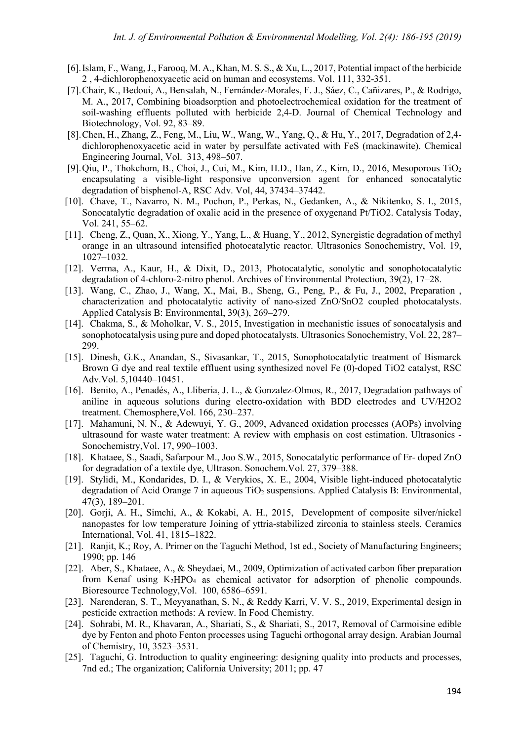- [6].Islam, F., Wang, J., Farooq, M. A., Khan, M. S. S., & Xu, L., 2017, Potential impact of the herbicide 2 , 4-dichlorophenoxyacetic acid on human and ecosystems. Vol. 111, 332-351.
- [7].Chair, K., Bedoui, A., Bensalah, N., Fernández-Morales, F. J., Sáez, C., Cañizares, P., & Rodrigo, M. A., 2017, Combining bioadsorption and photoelectrochemical oxidation for the treatment of soil-washing effluents polluted with herbicide 2,4-D. Journal of Chemical Technology and Biotechnology, Vol. 92, 83–89.
- [8].Chen, H., Zhang, Z., Feng, M., Liu, W., Wang, W., Yang, Q., & Hu, Y., 2017, Degradation of 2,4 dichlorophenoxyacetic acid in water by persulfate activated with FeS (mackinawite). Chemical Engineering Journal, Vol. 313, 498–507.
- [9].Qiu, P., Thokchom, B., Choi, J., Cui, M., Kim, H.D., Han, Z., Kim, D., 2016, Mesoporous TiO2 encapsulating a visible-light responsive upconversion agent for enhanced sonocatalytic degradation of bisphenol-A, RSC Adv. Vol, 44, 37434–37442.
- [10]. Chave, T., Navarro, N. M., Pochon, P., Perkas, N., Gedanken, A., & Nikitenko, S. I., 2015, Sonocatalytic degradation of oxalic acid in the presence of oxygenand Pt/TiO2. Catalysis Today, Vol. 241, 55–62.
- [11]. Cheng, Z., Quan, X., Xiong, Y., Yang, L., & Huang, Y., 2012, Synergistic degradation of methyl orange in an ultrasound intensified photocatalytic reactor. Ultrasonics Sonochemistry, Vol. 19, 1027–1032.
- [12]. Verma, A., Kaur, H., & Dixit, D., 2013, Photocatalytic, sonolytic and sonophotocatalytic degradation of 4-chloro-2-nitro phenol. Archives of Environmental Protection, 39(2), 17–28.
- [13]. Wang, C., Zhao, J., Wang, X., Mai, B., Sheng, G., Peng, P., & Fu, J., 2002, Preparation , characterization and photocatalytic activity of nano-sized ZnO/SnO2 coupled photocatalysts. Applied Catalysis B: Environmental, 39(3), 269–279.
- [14]. Chakma, S., & Moholkar, V. S., 2015, Investigation in mechanistic issues of sonocatalysis and sonophotocatalysis using pure and doped photocatalysts. Ultrasonics Sonochemistry, Vol. 22, 287– 299.
- [15]. Dinesh, G.K., Anandan, S., Sivasankar, T., 2015, Sonophotocatalytic treatment of Bismarck Brown G dye and real textile effluent using synthesized novel Fe (0)-doped TiO2 catalyst, RSC Adv.Vol. 5,10440–10451.
- [16]. Benito, A., Penadés, A., Lliberia, J. L., & Gonzalez-Olmos, R., 2017, Degradation pathways of aniline in aqueous solutions during electro-oxidation with BDD electrodes and UV/H2O2 treatment. Chemosphere,Vol. 166, 230–237.
- [17]. Mahamuni, N. N., & Adewuyi, Y. G., 2009, Advanced oxidation processes (AOPs) involving ultrasound for waste water treatment: A review with emphasis on cost estimation. Ultrasonics - Sonochemistry,Vol. 17, 990–1003.
- [18]. Khataee, S., Saadi, Safarpour M., Joo S.W., 2015, Sonocatalytic performance of Er- doped ZnO for degradation of a textile dye, Ultrason. Sonochem.Vol. 27, 379–388.
- [19]. Stylidi, M., Kondarides, D. I., & Verykios, X. E., 2004, Visible light-induced photocatalytic degradation of Acid Orange 7 in aqueous  $TiO<sub>2</sub>$  suspensions. Applied Catalysis B: Environmental, 47(3), 189–201.
- [20]. Gorji, A. H., Simchi, A., & Kokabi, A. H., 2015, Development of composite silver/nickel nanopastes for low temperature Joining of yttria-stabilized zirconia to stainless steels. Ceramics International, Vol. 41, 1815–1822.
- [21]. Ranjit, K.; Roy, A. Primer on the Taguchi Method, 1st ed., Society of Manufacturing Engineers; 1990; pp. 146
- [22]. Aber, S., Khataee, A., & Sheydaei, M., 2009, Optimization of activated carbon fiber preparation from Kenaf using K2HPO4 as chemical activator for adsorption of phenolic compounds. Bioresource Technology,Vol. 100, 6586–6591.
- [23]. Narenderan, S. T., Meyyanathan, S. N., & Reddy Karri, V. V. S., 2019, Experimental design in pesticide extraction methods: A review. In Food Chemistry.
- [24]. Sohrabi, M. R., Khavaran, A., Shariati, S., & Shariati, S., 2017, Removal of Carmoisine edible dye by Fenton and photo Fenton processes using Taguchi orthogonal array design. Arabian Journal of Chemistry, 10, 3523–3531.
- [25]. Taguchi, G. Introduction to quality engineering: designing quality into products and processes, 7nd ed.; The organization; California University; 2011; pp. 47